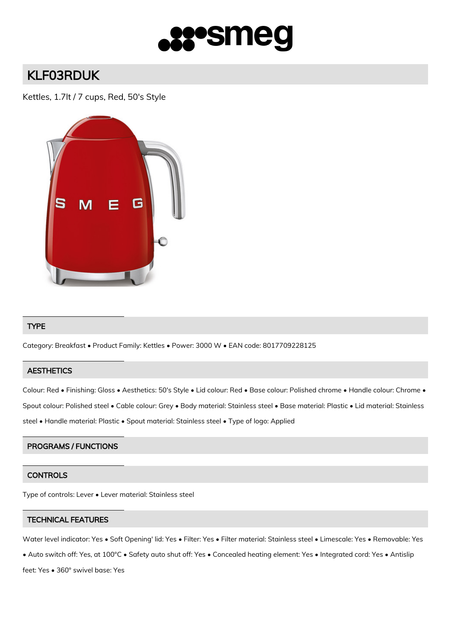

# KLF03RDUK

Kettles, 1.7lt / 7 cups, Red, 50's Style



#### TYPE

Category: Breakfast • Product Family: Kettles • Power: 3000 W • EAN code: 8017709228125

# **AESTHETICS**

Colour: Red • Finishing: Gloss • Aesthetics: 50's Style • Lid colour: Red • Base colour: Polished chrome • Handle colour: Chrome • Spout colour: Polished steel • Cable colour: Grey • Body material: Stainless steel • Base material: Plastic • Lid material: Stainless steel • Handle material: Plastic • Spout material: Stainless steel • Type of logo: Applied

# PROGRAMS / FUNCTIONS

# **CONTROLS**

Type of controls: Lever • Lever material: Stainless steel

#### TECHNICAL FEATURES

Water level indicator: Yes • Soft Opening' lid: Yes • Filter: Yes • Filter material: Stainless steel • Limescale: Yes • Removable: Yes

• Auto switch off: Yes, at 100°C • Safety auto shut off: Yes • Concealed heating element: Yes • Integrated cord: Yes • Antislip

feet: Yes • 360° swivel base: Yes